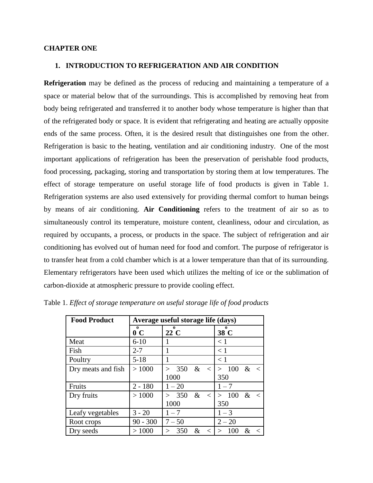### **CHAPTER ONE**

### **1. INTRODUCTION TO REFRIGERATION AND AIR CONDITION**

**Refrigeration** may be defined as the process of reducing and maintaining a temperature of a space or material below that of the surroundings. This is accomplished by removing heat from body being refrigerated and transferred it to another body whose temperature is higher than that of the refrigerated body or space. It is evident that refrigerating and heating are actually opposite ends of the same process. Often, it is the desired result that distinguishes one from the other. Refrigeration is basic to the heating, ventilation and air conditioning industry. One of the most important applications of refrigeration has been the preservation of perishable food products, food processing, packaging, storing and transportation by storing them at low temperatures. The effect of storage temperature on useful storage life of food products is given in Table 1. Refrigeration systems are also used extensively for providing thermal comfort to human beings by means of air conditioning. **Air Conditioning** refers to the treatment of air so as to simultaneously control its temperature, moisture content, cleanliness, odour and circulation, as required by occupants, a process, or products in the space. The subject of refrigeration and air conditioning has evolved out of human need for food and comfort. The purpose of refrigerator is to transfer heat from a cold chamber which is at a lower temperature than that of its surrounding. Elementary refrigerators have been used which utilizes the melting of ice or the sublimation of carbon-dioxide at atmospheric pressure to provide cooling effect.

| <b>Food Product</b> | Average useful storage life (days) |                               |                     |
|---------------------|------------------------------------|-------------------------------|---------------------|
|                     | $\mathbf{o}$<br>0 <sub>C</sub>     | $\bf{0}$<br>22 C              | $\bf o$<br>38 C     |
| Meat                | $6 - 10$                           | 1                             | < 1                 |
| Fish                | $2 - 7$                            | 1                             | < 1                 |
| Poultry             | $5 - 18$                           | 1                             | $\leq 1$            |
| Dry meats and fish  | >1000                              | $\&\leq$<br>350<br>$\gt$      | $> 100 \&$<br>$\lt$ |
|                     |                                    | 1000                          | 350                 |
| Fruits              | $2 - 180$                          | $1 - 20$                      | $1 - 7$             |
| Dry fruits          | >1000                              | > 350<br>$\&\leq$             | $> 100 \&$<br>$\lt$ |
|                     |                                    | 1000                          | 350                 |
| Leafy vegetables    | $3 - 20$                           | $1 - 7$                       | $1 - 3$             |
| Root crops          | $90 - 300$                         | $7 - 50$                      | $2 - 20$            |
| Dry seeds           | >1000                              | $\&$<br>350<br>$\lt$<br>$\gt$ | &<br>100<br>$\geq$  |

Table 1. *Effect of storage temperature on useful storage life of food products*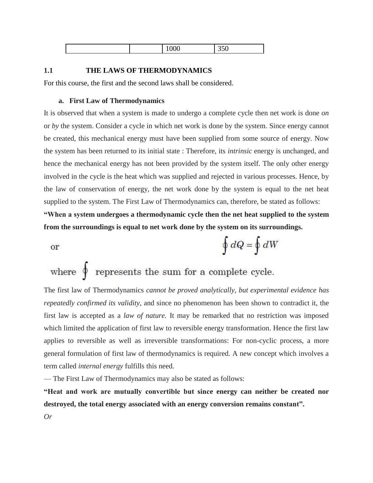|--|--|

### **1.1 THE LAWS OF THERMODYNAMICS**

For this course, the first and the second laws shall be considered.

### **a. First Law of Thermodynamics**

It is observed that when a system is made to undergo a complete cycle then net work is done *on*  or *by* the system. Consider a cycle in which net work is done by the system. Since energy cannot be created, this mechanical energy must have been supplied from some source of energy. Now the system has been returned to its initial state : Therefore, its *intrinsic* energy is unchanged, and hence the mechanical energy has not been provided by the system itself. The only other energy involved in the cycle is the heat which was supplied and rejected in various processes. Hence, by the law of conservation of energy, the net work done by the system is equal to the net heat supplied to the system. The First Law of Thermodynamics can, therefore, be stated as follows:

**"When a system undergoes a thermodynamic cycle then the net heat supplied to the system from the surroundings is equal to net work done by the system on its surroundings.**

or 
$$
\oint dQ = \oint dW
$$

where  $\oint$  represents the sum for a complete cycle.

The first law of Thermodynamics *cannot be proved analytically, but experimental evidence has repeatedly confirmed its validity*, and since no phenomenon has been shown to contradict it, the first law is accepted as a *law of nature.* It may be remarked that no restriction was imposed which limited the application of first law to reversible energy transformation. Hence the first law applies to reversible as well as irreversible transformations: For non-cyclic process, a more general formulation of first law of thermodynamics is required. A new concept which involves a term called *internal energy* fulfills this need.

— The First Law of Thermodynamics may also be stated as follows:

**"Heat and work are mutually convertible but since energy can neither be created nor destroyed, the total energy associated with an energy conversion remains constant".**

*Or*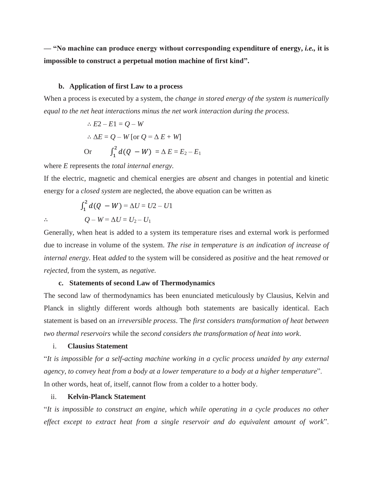**— "No machine can produce energy without corresponding expenditure of energy,** *i.e.,* **it is impossible to construct a perpetual motion machine of first kind".**

#### **b. Application of first Law to a process**

When a process is executed by a system, the *change in stored energy of the system is numerically equal to the net heat interactions minus the net work interaction during the process.*

$$
\therefore E2 - E1 = Q - W
$$
  
\n
$$
\therefore \Delta E = Q - W \text{ [or } Q = \Delta E + W]
$$
  
\nOr 
$$
\int_{1}^{2} d(Q - W) = \Delta E = E_{2} - E_{1}
$$

where *E* represents the *total internal energy.*

If the electric, magnetic and chemical energies are *absent* and changes in potential and kinetic energy for a *closed system* are neglected, the above equation can be written as

$$
\ddot{\cdot}
$$

$$
\int_1^2 d(Q - W) = \Delta U = U2 - U1
$$
  
 
$$
\therefore Q - W = \Delta U = U_2 - U_1
$$

Generally, when heat is added to a system its temperature rises and external work is performed due to increase in volume of the system. *The rise in temperature is an indication of increase of internal energy*. Heat *added* to the system will be considered as *positive* and the heat *removed* or *rejected*, from the system, as *negative.*

### **c. Statements of second Law of Thermodynamics**

The second law of thermodynamics has been enunciated meticulously by Clausius, Kelvin and Planck in slightly different words although both statements are basically identical. Each statement is based on an *irreversible process*. The *first considers transformation of heat between two thermal reservoirs* while the *second considers the transformation of heat into work*.

### i. **Clausius Statement**

―*It is impossible for a self-acting machine working in a cyclic process unaided by any external agency, to convey heat from a body at a lower temperature to a body at a higher temperature*". In other words, heat of, itself, cannot flow from a colder to a hotter body.

## ii. **Kelvin-Planck Statement**

―*It is impossible to construct an engine, which while operating in a cycle produces no other*  effect except to extract heat from a single reservoir and do equivalent amount of work".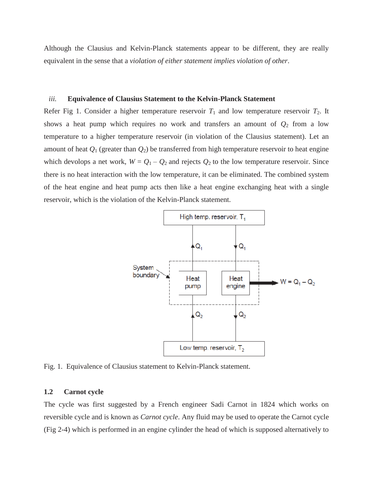Although the Clausius and Kelvin-Planck statements appear to be different, they are really equivalent in the sense that a *violation of either statement implies violation of other*.

### *iii.* **Equivalence of Clausius Statement to the Kelvin-Planck Statement**

Refer Fig 1. Consider a higher temperature reservoir  $T_1$  and low temperature reservoir  $T_2$ . It shows a heat pump which requires no work and transfers an amount of  $Q_2$  from a low temperature to a higher temperature reservoir (in violation of the Clausius statement). Let an amount of heat  $Q_1$  (greater than  $Q_2$ ) be transferred from high temperature reservoir to heat engine which devolops a net work,  $W = Q_1 - Q_2$  and rejects  $Q_2$  to the low temperature reservoir. Since there is no heat interaction with the low temperature, it can be eliminated. The combined system of the heat engine and heat pump acts then like a heat engine exchanging heat with a single reservoir, which is the violation of the Kelvin-Planck statement.



Fig. 1. Equivalence of Clausius statement to Kelvin-Planck statement.

### **1.2 Carnot cycle**

The cycle was first suggested by a French engineer Sadi Carnot in 1824 which works on reversible cycle and is known as *Carnot cycle*. Any fluid may be used to operate the Carnot cycle (Fig 2-4) which is performed in an engine cylinder the head of which is supposed alternatively to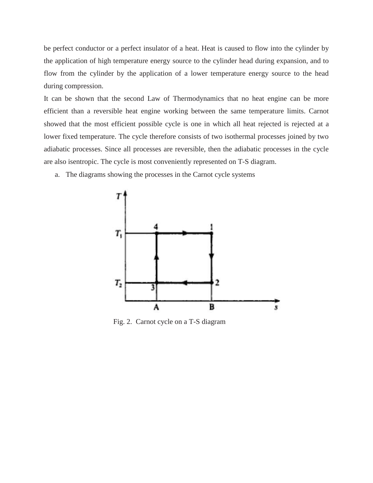be perfect conductor or a perfect insulator of a heat. Heat is caused to flow into the cylinder by the application of high temperature energy source to the cylinder head during expansion, and to flow from the cylinder by the application of a lower temperature energy source to the head during compression.

It can be shown that the second Law of Thermodynamics that no heat engine can be more efficient than a reversible heat engine working between the same temperature limits. Carnot showed that the most efficient possible cycle is one in which all heat rejected is rejected at a lower fixed temperature. The cycle therefore consists of two isothermal processes joined by two adiabatic processes. Since all processes are reversible, then the adiabatic processes in the cycle are also isentropic. The cycle is most conveniently represented on T-S diagram.

a. The diagrams showing the processes in the Carnot cycle systems



Fig. 2. Carnot cycle on a T-S diagram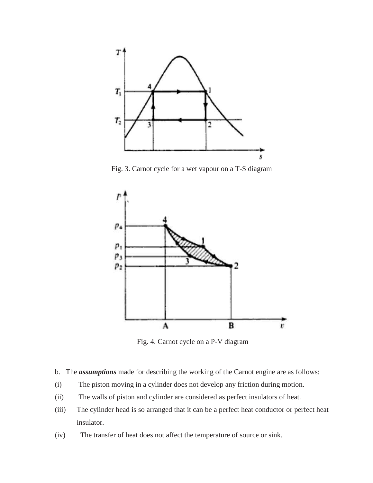

Fig. 3. Carnot cycle for a wet vapour on a T-S diagram



Fig. 4. Carnot cycle on a P-V diagram

- b. The *assumptions* made for describing the working of the Carnot engine are as follows:
- (i) The piston moving in a cylinder does not develop any friction during motion.
- (ii) The walls of piston and cylinder are considered as perfect insulators of heat.
- (iii) The cylinder head is so arranged that it can be a perfect heat conductor or perfect heat insulator.
- (iv) The transfer of heat does not affect the temperature of source or sink.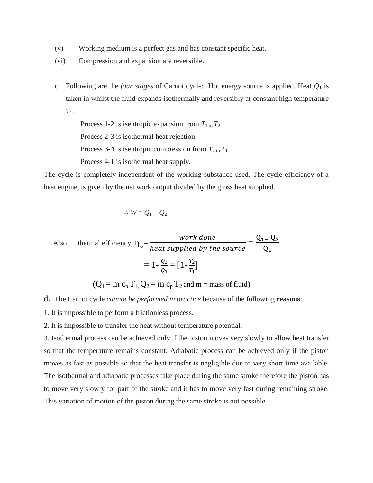- (v) Working medium is a perfect gas and has constant specific heat.
- (vi) Compression and expansion are reversible.
- c. Following are the *four stages* of Carnot cycle: Hot energy source is applied. Heat *Q*<sup>1</sup> is taken in whilst the fluid expands isothermally and reversibly at constant high temperature *T*1.

Process 1-2 is isentropic expansion from  $T_{1 \text{ to }} T_2$  Process 2-3 is isothermal heat rejection. Process 3-4 is isentropic compression from  $T_{2 \text{ to }} T_1$ Process 4-1 is isothermal heat supply.

The cycle is completely independent of the working substance used. The cycle efficiency of a heat engine, is given by the net work output divided by the gross heat supplied.

$$
\therefore W = Q_1 - Q_2
$$

Also, thermal efficiency,  $\eta_{\mu}$  = W  $\frac{work\ done}{heat\ supplied\ by\ the\ source} = \frac{\textit{Q}}{\textit{Q}}$ Q  $= 1 - \frac{Q}{Q}$  $\frac{Q_2}{Q_1} = [1 - \frac{T_1}{T_1}]$  $\frac{12}{T_1}$  $(Q_1 = m c_p T_1 Q_2 = m c_p T_2$  and m = mass of fluid)

d. The Carnot cycle *cannot be performed in practice* because of the following **reasons**:

1. It is impossible to perform a frictionless process.

2. It is impossible to transfer the heat without temperature potential.

3. Isothermal process can be achieved only if the piston moves very slowly to allow heat transfer so that the temperature remains constant. Adiabatic process can be achieved only if the piston moves as fast as possible so that the heat transfer is negligible due to very short time available. The isothermal and adiabatic processes take place during the same stroke therefore the piston has to move very slowly for part of the stroke and it has to move very fast during remaining stroke. This variation of motion of the piston during the same stroke is not possible.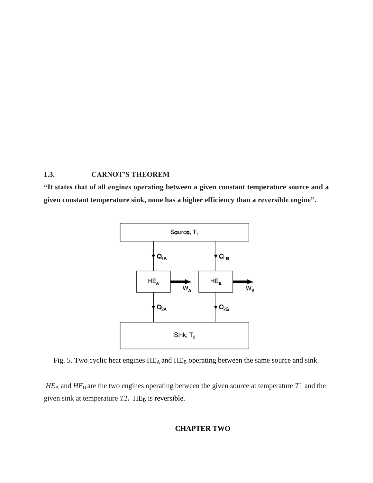# **1.3. CARNOT'S THEOREM**

**"It states that of all engines operating between a given constant temperature source and a given constant temperature sink, none has a higher efficiency than a reversible engine".**



Fig. 5. Two cyclic heat engines  $HE_A$  and  $HE_B$  operating between the same source and sink.

*HE*<sub>A</sub> and *HE*<sub>B</sub> are the two engines operating between the given source at temperature *T*1 and the given sink at temperature  $T2$ . HE<sub>B</sub> is reversible.

## **CHAPTER TWO**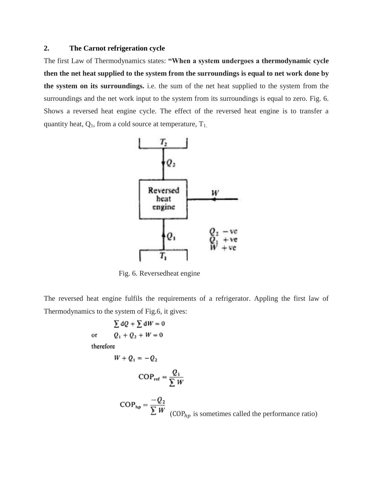## **2. The Carnot refrigeration cycle**

The first Law of Thermodynamics states: **"When a system undergoes a thermodynamic cycle then the net heat supplied to the system from the surroundings is equal to net work done by the system on its surroundings.** i.e. the sum of the net heat supplied to the system from the surroundings and the net work input to the system from its surroundings is equal to zero. Fig. 6. Shows a reversed heat engine cycle. The effect of the reversed heat engine is to transfer a quantity heat,  $Q_1$ , from a cold source at temperature,  $T_1$ .



Fig. 6. Reversedheat engine

The reversed heat engine fulfils the requirements of a refrigerator. Appling the first law of Thermodynamics to the system of Fig.6, it gives:

$$
\sum dQ + \sum dW = 0
$$
  
or  $Q_1 + Q_2 + W = 0$   
therefore

$$
W+Q_1=-Q_2
$$

$$
\text{COP}_{\text{ref}} = \frac{Q_1}{\sum W}
$$

 $\text{COP}_{hp} = \frac{-Q_2}{\sum W}$  (COP<sub>hp</sub> is sometimes called the performance ratio)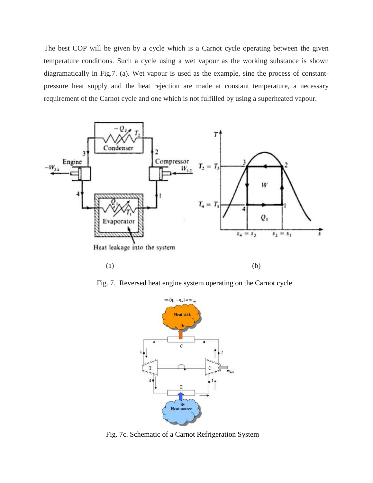The best COP will be given by a cycle which is a Carnot cycle operating between the given temperature conditions. Such a cycle using a wet vapour as the working substance is shown diagramatically in Fig.7. (a). Wet vapour is used as the example, sine the process of constantpressure heat supply and the heat rejection are made at constant temperature, a necessary requirement of the Carnot cycle and one which is not fulfilled by using a superheated vapour.



Fig. 7. Reversed heat engine system operating on the Carnot cycle



Fig. 7c. Schematic of a Carnot Refrigeration System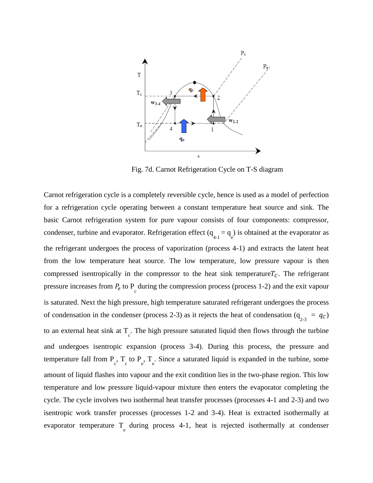

Fig. 7d. Carnot Refrigeration Cycle on T-S diagram

Carnot refrigeration cycle is a completely reversible cycle, hence is used as a model of perfection for a refrigeration cycle operating between a constant temperature heat source and sink. The basic Carnot refrigeration system for pure vapour consists of four components: compressor, condenser, turbine and evaporator. Refrigeration effect  $(q_{4-1} = q_e)$  is obtained at the evaporator as the refrigerant undergoes the process of vaporization (process 4-1) and extracts the latent heat from the low temperature heat source. The low temperature, low pressure vapour is then compressed isentropically in the compressor to the heat sink temperature  $T_c$ . The refrigerant pressure increases from  $P_e$  to  $P_c$  during the compression process (process 1-2) and the exit vapour is saturated. Next the high pressure, high temperature saturated refrigerant undergoes the process of condensation in the condenser (process 2-3) as it rejects the heat of condensation ( $q_{2-3} = q_c$ ) to an external heat sink at  $T_c$ . The high pressure saturated liquid then flows through the turbine and undergoes isentropic expansion (process 3-4). During this process, the pressure and temperature fall from  $P_c$ ,  $T_c$  to  $P_e$ ,  $T_e$ . Since a saturated liquid is expanded in the turbine, some amount of liquid flashes into vapour and the exit condition lies in the two-phase region. This low temperature and low pressure liquid-vapour mixture then enters the evaporator completing the cycle. The cycle involves two isothermal heat transfer processes (processes 4-1 and 2-3) and two isentropic work transfer processes (processes 1-2 and 3-4). Heat is extracted isothermally at evaporator temperature T<sub>e</sub> during process 4-1, heat is rejected isothermally at condenser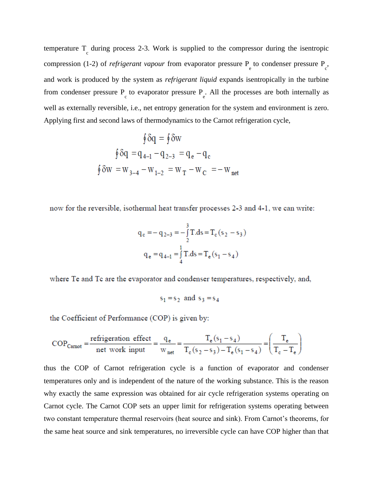temperature  $T_c$  during process 2-3. Work is supplied to the compressor during the isentropic compression (1-2) of *refrigerant vapour* from evaporator pressure  $P_e$  to condenser pressure  $P_c$ , and work is produced by the system as *refrigerant liquid* expands isentropically in the turbine from condenser pressure  $P_c$  to evaporator pressure  $P_e$ . All the processes are both internally as well as externally reversible, i.e., net entropy generation for the system and environment is zero. Applying first and second laws of thermodynamics to the Carnot refrigeration cycle,

$$
\oint \delta q = \oint \delta w
$$
  

$$
\oint \delta q = q_{4-1} - q_{2-3} = q_e - q_c
$$
  

$$
\oint \delta w = w_{3-4} - w_{1-2} = w_T - w_C = -w_{net}
$$

now for the reversible, isothermal heat transfer processes 2-3 and 4-1, we can write:

$$
q_e = -q_{2-3} = -\int_{2}^{3} T \cdot ds = T_e (s_2 - s_3)
$$
  

$$
q_e = q_{4-1} = \int_{4}^{1} T \cdot ds = T_e (s_1 - s_4)
$$

where Te and Te are the evaporator and condenser temperatures, respectively, and,

$$
s_1 = s_2 \text{ and } s_3 = s_4
$$

the Coefficient of Performance (COP) is given by:

$$
COP_{Carnot} = \frac{\text{refrigeration effect}}{\text{net work input}} = \frac{q_e}{w_{net}} = \frac{T_e(s_1 - s_4)}{T_c(s_2 - s_3) - T_e(s_1 - s_4)} = \left(\frac{T_e}{T_c - T_e}\right)
$$

thus the COP of Carnot refrigeration cycle is a function of evaporator and condenser temperatures only and is independent of the nature of the working substance. This is the reason why exactly the same expression was obtained for air cycle refrigeration systems operating on Carnot cycle. The Carnot COP sets an upper limit for refrigeration systems operating between two constant temperature thermal reservoirs (heat source and sink). From Carnot's theorems, for the same heat source and sink temperatures, no irreversible cycle can have COP higher than that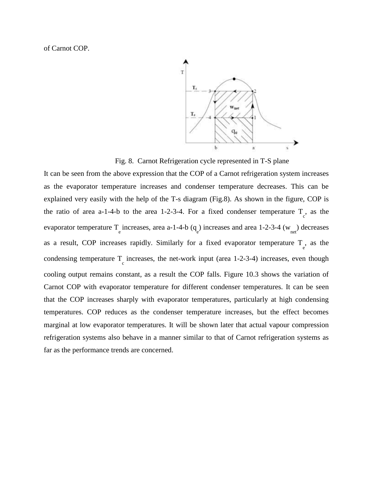of Carnot COP.



Fig. 8. Carnot Refrigeration cycle represented in T-S plane

It can be seen from the above expression that the COP of a Carnot refrigeration system increases as the evaporator temperature increases and condenser temperature decreases. This can be explained very easily with the help of the T-s diagram (Fig.8). As shown in the figure, COP is the ratio of area a-1-4-b to the area 1-2-3-4. For a fixed condenser temperature  $T_c$ , as the evaporator temperature  $T_e$  increases, area a-1-4-b (q<sub>e</sub>) increases and area 1-2-3-4 (w<sub>net</sub>) decreases as a result, COP increases rapidly. Similarly for a fixed evaporator temperature  $T_{e}$ , as the condensing temperature  $T_c$  increases, the net-work input (area 1-2-3-4) increases, even though cooling output remains constant, as a result the COP falls. Figure 10.3 shows the variation of Carnot COP with evaporator temperature for different condenser temperatures. It can be seen that the COP increases sharply with evaporator temperatures, particularly at high condensing temperatures. COP reduces as the condenser temperature increases, but the effect becomes marginal at low evaporator temperatures. It will be shown later that actual vapour compression refrigeration systems also behave in a manner similar to that of Carnot refrigeration systems as far as the performance trends are concerned.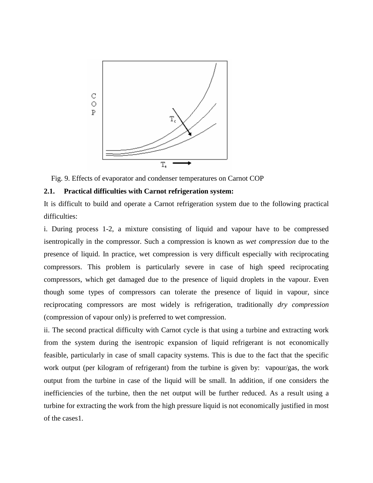

Fig. 9. Effects of evaporator and condenser temperatures on Carnot COP

### **2.1. Practical difficulties with Carnot refrigeration system:**

It is difficult to build and operate a Carnot refrigeration system due to the following practical difficulties:

i. During process 1-2, a mixture consisting of liquid and vapour have to be compressed isentropically in the compressor. Such a compression is known as *wet compression* due to the presence of liquid. In practice, wet compression is very difficult especially with reciprocating compressors. This problem is particularly severe in case of high speed reciprocating compressors, which get damaged due to the presence of liquid droplets in the vapour. Even though some types of compressors can tolerate the presence of liquid in vapour, since reciprocating compressors are most widely is refrigeration, traditionally *dry compression*  (compression of vapour only) is preferred to wet compression.

ii. The second practical difficulty with Carnot cycle is that using a turbine and extracting work from the system during the isentropic expansion of liquid refrigerant is not economically feasible, particularly in case of small capacity systems. This is due to the fact that the specific work output (per kilogram of refrigerant) from the turbine is given by: vapour/gas, the work output from the turbine in case of the liquid will be small. In addition, if one considers the inefficiencies of the turbine, then the net output will be further reduced. As a result using a turbine for extracting the work from the high pressure liquid is not economically justified in most of the cases1.